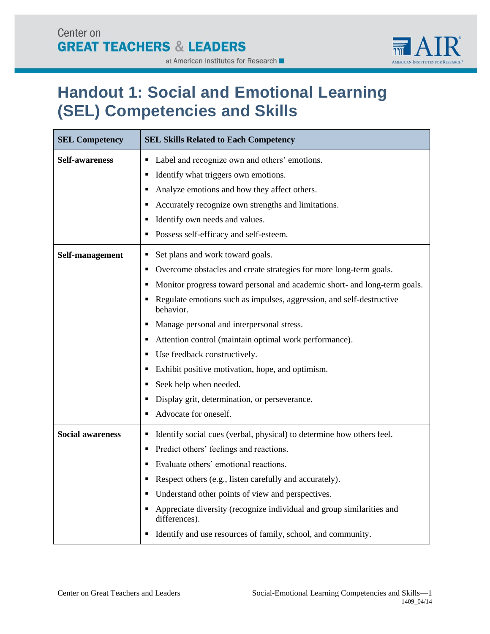

#### at American Institutes for Research ■

# **Handout 1: Social and Emotional Learning (SEL) Competencies and Skills**

| <b>SEL Competency</b>   | <b>SEL Skills Related to Each Competency</b>                                                                                                                                                                                                                                                                                                                                                                                                                                                                                                                                                                                                |  |  |
|-------------------------|---------------------------------------------------------------------------------------------------------------------------------------------------------------------------------------------------------------------------------------------------------------------------------------------------------------------------------------------------------------------------------------------------------------------------------------------------------------------------------------------------------------------------------------------------------------------------------------------------------------------------------------------|--|--|
| Self-awareness          | Label and recognize own and others' emotions.<br>٠<br>Identify what triggers own emotions.<br>٠<br>Analyze emotions and how they affect others.<br>в<br>Accurately recognize own strengths and limitations.<br>Е<br>Identify own needs and values.<br>٠<br>Possess self-efficacy and self-esteem.<br>٠                                                                                                                                                                                                                                                                                                                                      |  |  |
| Self-management         | Set plans and work toward goals.<br>п<br>Overcome obstacles and create strategies for more long-term goals.<br>п<br>Monitor progress toward personal and academic short- and long-term goals.<br>Е<br>Regulate emotions such as impulses, aggression, and self-destructive<br>п<br>behavior.<br>Manage personal and interpersonal stress.<br>٠<br>Attention control (maintain optimal work performance).<br>п<br>Use feedback constructively.<br>٠<br>Exhibit positive motivation, hope, and optimism.<br>٠<br>Seek help when needed.<br>٠<br>Display grit, determination, or perseverance.<br>п<br>Advocate for oneself.<br>$\blacksquare$ |  |  |
| <b>Social awareness</b> | Identify social cues (verbal, physical) to determine how others feel.<br>٠<br>Predict others' feelings and reactions.<br>п<br>Evaluate others' emotional reactions.<br>п<br>Respect others (e.g., listen carefully and accurately).<br>п<br>Understand other points of view and perspectives.<br>п<br>Appreciate diversity (recognize individual and group similarities and<br>п<br>differences).<br>Identify and use resources of family, school, and community.<br>٠                                                                                                                                                                      |  |  |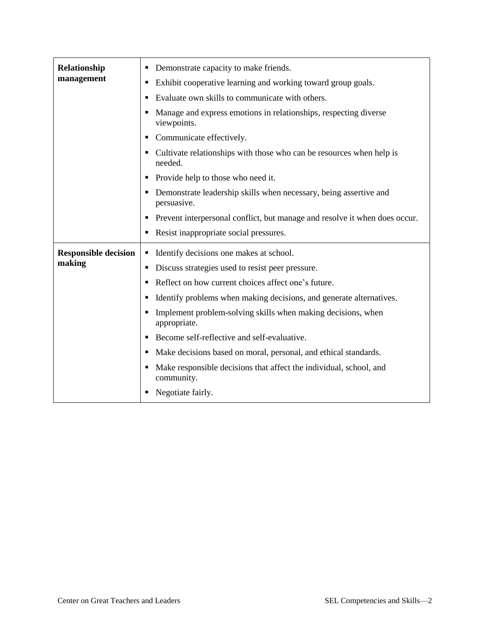| Relationship                          | Demonstrate capacity to make friends.<br>п                                            |
|---------------------------------------|---------------------------------------------------------------------------------------|
| management                            | Exhibit cooperative learning and working toward group goals.<br>п                     |
|                                       | Evaluate own skills to communicate with others.<br>٠                                  |
|                                       | Manage and express emotions in relationships, respecting diverse<br>viewpoints.       |
|                                       | Communicate effectively.<br>п                                                         |
|                                       | Cultivate relationships with those who can be resources when help is<br>п<br>needed.  |
|                                       | Provide help to those who need it.<br>п                                               |
|                                       | Demonstrate leadership skills when necessary, being assertive and<br>٠<br>persuasive. |
|                                       | Prevent interpersonal conflict, but manage and resolve it when does occur.<br>٠       |
|                                       | Resist inappropriate social pressures.<br>п                                           |
| <b>Responsible decision</b><br>making | Identify decisions one makes at school.<br>٠                                          |
|                                       | Discuss strategies used to resist peer pressure.<br>٠                                 |
|                                       | Reflect on how current choices affect one's future.<br>٠                              |
|                                       | Identify problems when making decisions, and generate alternatives.<br>Е              |
|                                       | Implement problem-solving skills when making decisions, when<br>Е<br>appropriate.     |
|                                       | Become self-reflective and self-evaluative.<br>п                                      |
|                                       | Make decisions based on moral, personal, and ethical standards.<br>п                  |
|                                       | Make responsible decisions that affect the individual, school, and<br>community.      |
|                                       | Negotiate fairly.                                                                     |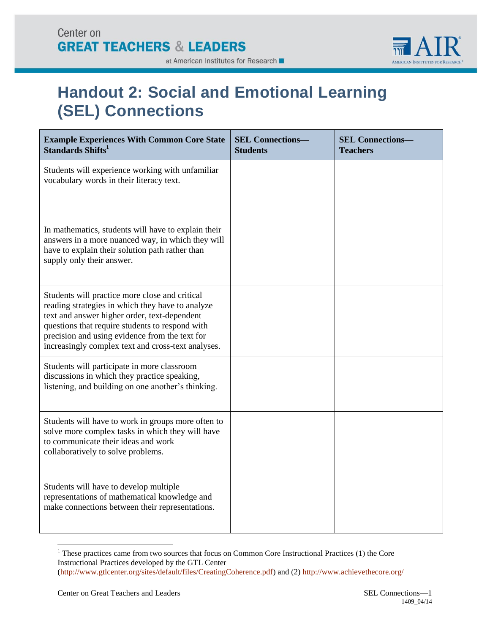

### at American Institutes for Research ■

# **Handout 2: Social and Emotional Learning (SEL) Connections**

| <b>Example Experiences With Common Core State</b><br>Standards Shifts <sup>1</sup>                                                                                                                                                                                                                            | <b>SEL Connections-</b><br><b>Students</b> | <b>SEL Connections-</b><br><b>Teachers</b> |
|---------------------------------------------------------------------------------------------------------------------------------------------------------------------------------------------------------------------------------------------------------------------------------------------------------------|--------------------------------------------|--------------------------------------------|
| Students will experience working with unfamiliar<br>vocabulary words in their literacy text.                                                                                                                                                                                                                  |                                            |                                            |
| In mathematics, students will have to explain their<br>answers in a more nuanced way, in which they will<br>have to explain their solution path rather than<br>supply only their answer.                                                                                                                      |                                            |                                            |
| Students will practice more close and critical<br>reading strategies in which they have to analyze<br>text and answer higher order, text-dependent<br>questions that require students to respond with<br>precision and using evidence from the text for<br>increasingly complex text and cross-text analyses. |                                            |                                            |
| Students will participate in more classroom<br>discussions in which they practice speaking,<br>listening, and building on one another's thinking.                                                                                                                                                             |                                            |                                            |
| Students will have to work in groups more often to<br>solve more complex tasks in which they will have<br>to communicate their ideas and work<br>collaboratively to solve problems.                                                                                                                           |                                            |                                            |
| Students will have to develop multiple<br>representations of mathematical knowledge and<br>make connections between their representations.                                                                                                                                                                    |                                            |                                            |

<sup>&</sup>lt;sup>1</sup> These practices came from two sources that focus on Common Core Instructional Practices (1) the Core Instructional Practices developed by the GTL Center [\(http://www.gtlcenter.org/sites/default/files/CreatingCoherence.pdf\)](http://www.gtlcenter.org/sites/default/files/CreatingCoherence.pdf) and (2)<http://www.achievethecore.org/>

 $\overline{a}$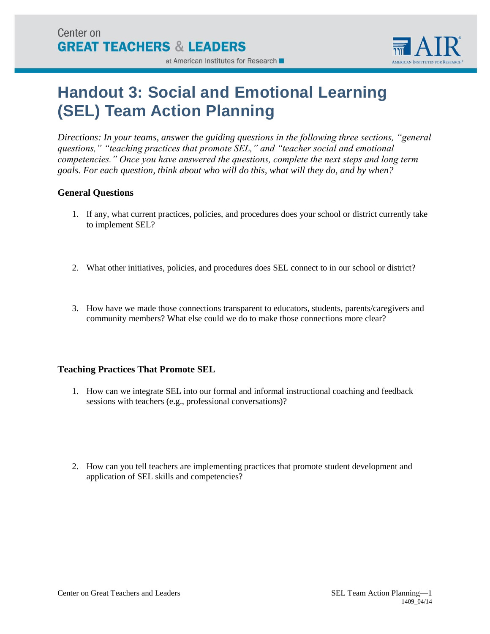

#### at American Institutes for Research

# **Handout 3: Social and Emotional Learning (SEL) Team Action Planning**

*Directions: In your teams, answer the guiding questions in the following three sections, "general questions," "teaching practices that promote SEL," and "teacher social and emotional competencies." Once you have answered the questions, complete the next steps and long term goals. For each question, think about who will do this, what will they do, and by when?*

### **General Questions**

- 1. If any, what current practices, policies, and procedures does your school or district currently take to implement SEL?
- 2. What other initiatives, policies, and procedures does SEL connect to in our school or district?
- 3. How have we made those connections transparent to educators, students, parents/caregivers and community members? What else could we do to make those connections more clear?

### **Teaching Practices That Promote SEL**

- 1. How can we integrate SEL into our formal and informal instructional coaching and feedback sessions with teachers (e.g., professional conversations)?
- 2. How can you tell teachers are implementing practices that promote student development and application of SEL skills and competencies?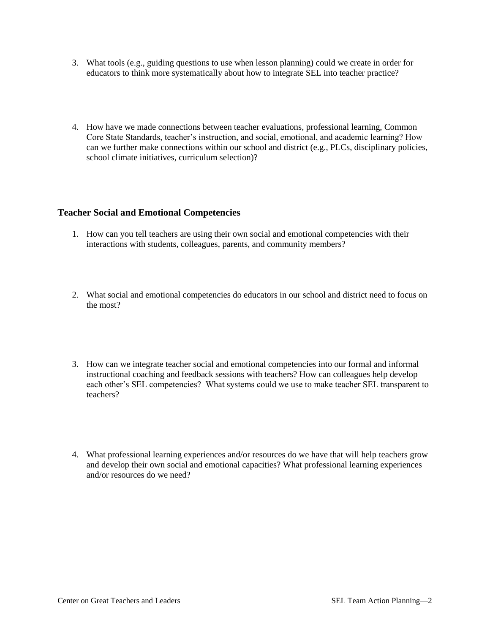- 3. What tools (e.g., guiding questions to use when lesson planning) could we create in order for educators to think more systematically about how to integrate SEL into teacher practice?
- 4. How have we made connections between teacher evaluations, professional learning, Common Core State Standards, teacher's instruction, and social, emotional, and academic learning? How can we further make connections within our school and district (e.g., PLCs, disciplinary policies, school climate initiatives, curriculum selection)?

#### **Teacher Social and Emotional Competencies**

- 1. How can you tell teachers are using their own social and emotional competencies with their interactions with students, colleagues, parents, and community members?
- 2. What social and emotional competencies do educators in our school and district need to focus on the most?
- 3. How can we integrate teacher social and emotional competencies into our formal and informal instructional coaching and feedback sessions with teachers? How can colleagues help develop each other's SEL competencies? What systems could we use to make teacher SEL transparent to teachers?
- 4. What professional learning experiences and/or resources do we have that will help teachers grow and develop their own social and emotional capacities? What professional learning experiences and/or resources do we need?